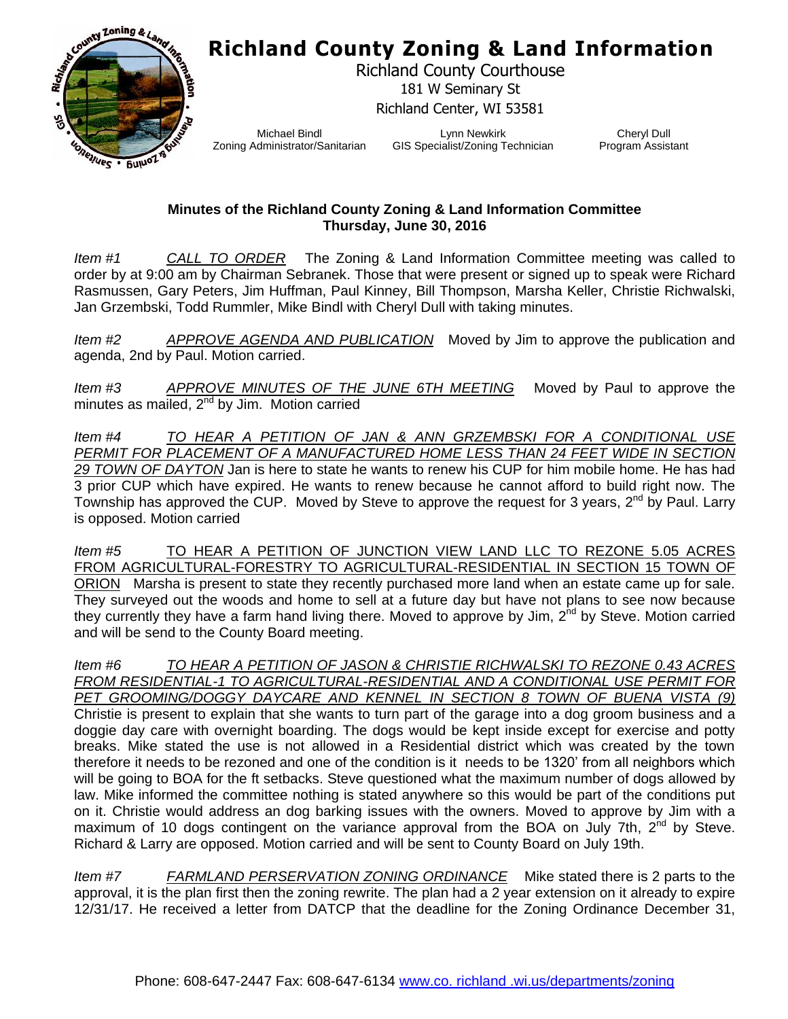## **Richland County Zoning & Land Information**



Richland County Courthouse 181 W Seminary St Richland Center, WI 53581

Michael Bindl Zoning Administrator/Sanitarian

Lynn Newkirk GIS Specialist/Zoning Technician

Cheryl Dull Program Assistant

## **Minutes of the Richland County Zoning & Land Information Committee Thursday, June 30, 2016**

*Item #1 CALL TO ORDER* The Zoning & Land Information Committee meeting was called to order by at 9:00 am by Chairman Sebranek. Those that were present or signed up to speak were Richard Rasmussen, Gary Peters, Jim Huffman, Paul Kinney, Bill Thompson, Marsha Keller, Christie Richwalski, Jan Grzembski, Todd Rummler, Mike Bindl with Cheryl Dull with taking minutes.

*Item #2 APPROVE AGENDA AND PUBLICATION* Moved by Jim to approve the publication and agenda, 2nd by Paul. Motion carried.

*Item #3 APPROVE MINUTES OF THE JUNE 6TH MEETING* Moved by Paul to approve the minutes as mailed,  $2^{nd}$  by Jim. Motion carried

*Item #4 TO HEAR A PETITION OF JAN & ANN GRZEMBSKI FOR A CONDITIONAL USE PERMIT FOR PLACEMENT OF A MANUFACTURED HOME LESS THAN 24 FEET WIDE IN SECTION 29 TOWN OF DAYTON* Jan is here to state he wants to renew his CUP for him mobile home. He has had 3 prior CUP which have expired. He wants to renew because he cannot afford to build right now. The Township has approved the CUP. Moved by Steve to approve the request for 3 years, 2<sup>nd</sup> by Paul. Larry is opposed. Motion carried

*Item #5* TO HEAR A PETITION OF JUNCTION VIEW LAND LLC TO REZONE 5.05 ACRES FROM AGRICULTURAL-FORESTRY TO AGRICULTURAL-RESIDENTIAL IN SECTION 15 TOWN OF ORION Marsha is present to state they recently purchased more land when an estate came up for sale. They surveyed out the woods and home to sell at a future day but have not plans to see now because they currently they have a farm hand living there. Moved to approve by Jim, 2<sup>nd</sup> by Steve. Motion carried and will be send to the County Board meeting.

*Item #6 TO HEAR A PETITION OF JASON & CHRISTIE RICHWALSKI TO REZONE 0.43 ACRES FROM RESIDENTIAL-1 TO AGRICULTURAL-RESIDENTIAL AND A CONDITIONAL USE PERMIT FOR PET GROOMING/DOGGY DAYCARE AND KENNEL IN SECTION 8 TOWN OF BUENA VISTA (9)* Christie is present to explain that she wants to turn part of the garage into a dog groom business and a doggie day care with overnight boarding. The dogs would be kept inside except for exercise and potty breaks. Mike stated the use is not allowed in a Residential district which was created by the town therefore it needs to be rezoned and one of the condition is it needs to be 1320' from all neighbors which will be going to BOA for the ft setbacks. Steve questioned what the maximum number of dogs allowed by law. Mike informed the committee nothing is stated anywhere so this would be part of the conditions put on it. Christie would address an dog barking issues with the owners. Moved to approve by Jim with a maximum of 10 dogs contingent on the variance approval from the BOA on July 7th,  $2^{nd}$  by Steve. Richard & Larry are opposed. Motion carried and will be sent to County Board on July 19th.

*Item #7 FARMLAND PERSERVATION ZONING ORDINANCE* Mike stated there is 2 parts to the approval, it is the plan first then the zoning rewrite. The plan had a 2 year extension on it already to expire 12/31/17. He received a letter from DATCP that the deadline for the Zoning Ordinance December 31,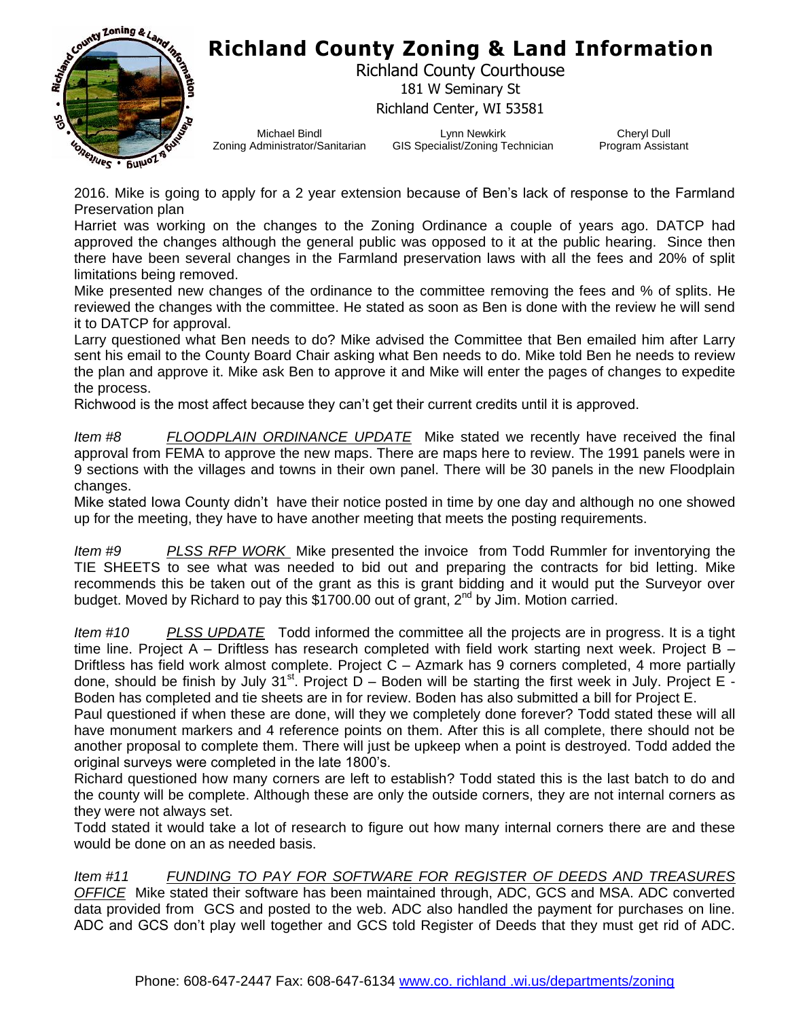

## **Richland County Zoning & Land Information**

Richland County Courthouse 181 W Seminary St Richland Center, WI 53581

Michael Bindl Zoning Administrator/Sanitarian

Lynn Newkirk GIS Specialist/Zoning Technician

Cheryl Dull Program Assistant

2016. Mike is going to apply for a 2 year extension because of Ben's lack of response to the Farmland Preservation plan

Harriet was working on the changes to the Zoning Ordinance a couple of years ago. DATCP had approved the changes although the general public was opposed to it at the public hearing. Since then there have been several changes in the Farmland preservation laws with all the fees and 20% of split limitations being removed.

Mike presented new changes of the ordinance to the committee removing the fees and % of splits. He reviewed the changes with the committee. He stated as soon as Ben is done with the review he will send it to DATCP for approval.

Larry questioned what Ben needs to do? Mike advised the Committee that Ben emailed him after Larry sent his email to the County Board Chair asking what Ben needs to do. Mike told Ben he needs to review the plan and approve it. Mike ask Ben to approve it and Mike will enter the pages of changes to expedite the process.

Richwood is the most affect because they can't get their current credits until it is approved.

*Item #8 FLOODPLAIN ORDINANCE UPDATE* Mike stated we recently have received the final approval from FEMA to approve the new maps. There are maps here to review. The 1991 panels were in 9 sections with the villages and towns in their own panel. There will be 30 panels in the new Floodplain changes.

Mike stated Iowa County didn't have their notice posted in time by one day and although no one showed up for the meeting, they have to have another meeting that meets the posting requirements.

*Item #9 PLSS RFP WORK* Mike presented the invoice from Todd Rummler for inventorying the TIE SHEETS to see what was needed to bid out and preparing the contracts for bid letting. Mike recommends this be taken out of the grant as this is grant bidding and it would put the Surveyor over budget. Moved by Richard to pay this  $$1700.00$  out of grant,  $2<sup>nd</sup>$  by Jim. Motion carried.

*Item #10 PLSS UPDATE* Todd informed the committee all the projects are in progress. It is a tight time line. Project A – Driftless has research completed with field work starting next week. Project B – Driftless has field work almost complete. Project C – Azmark has 9 corners completed, 4 more partially done, should be finish by July 31<sup>st</sup>. Project  $D - B$ oden will be starting the first week in July. Project E -Boden has completed and tie sheets are in for review. Boden has also submitted a bill for Project E.

Paul questioned if when these are done, will they we completely done forever? Todd stated these will all have monument markers and 4 reference points on them. After this is all complete, there should not be another proposal to complete them. There will just be upkeep when a point is destroyed. Todd added the original surveys were completed in the late 1800's.

Richard questioned how many corners are left to establish? Todd stated this is the last batch to do and the county will be complete. Although these are only the outside corners, they are not internal corners as they were not always set.

Todd stated it would take a lot of research to figure out how many internal corners there are and these would be done on an as needed basis.

*Item #11 FUNDING TO PAY FOR SOFTWARE FOR REGISTER OF DEEDS AND TREASURES OFFICE* Mike stated their software has been maintained through, ADC, GCS and MSA. ADC converted data provided from GCS and posted to the web. ADC also handled the payment for purchases on line. ADC and GCS don't play well together and GCS told Register of Deeds that they must get rid of ADC.